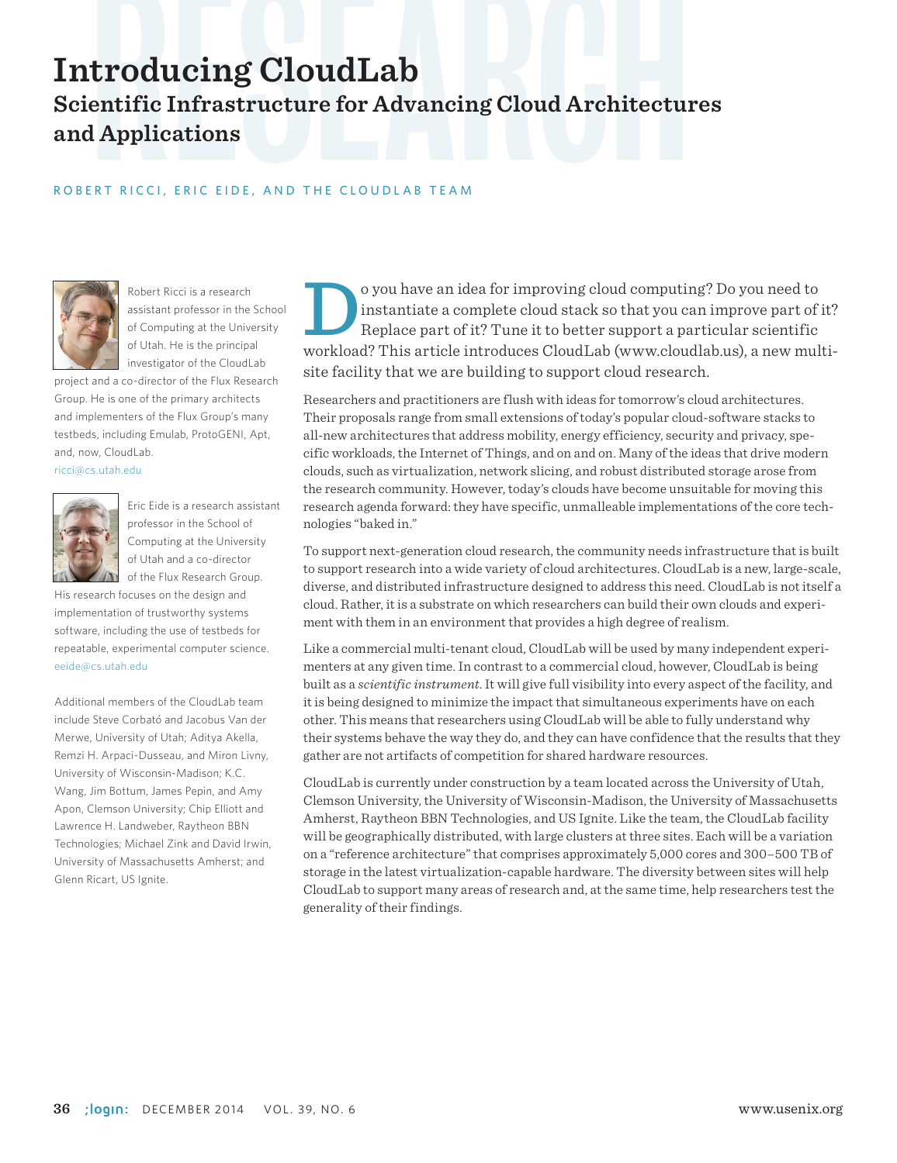# **Introducing CloudLab**<br>Scientific Infrastructure for Advancing Cloud Architecture<br>and Applications<br>ROBERT RICCI, ERIC EIDE, AND THE CLOUDLAB TEAM **Scientific Infrastructure for Advancing Cloud Architectures and Applications**

#### ROBERT RICCI, ERIC EIDE, AND THE CLOUDLAB TEAM



Robert Ricci is a research assistant professor in the School of Computing at the University of Utah. He is the principal investigator of the CloudLab

project and a co-director of the Flux Research Group. He is one of the primary architects and implementers of the Flux Group's many testbeds, including Emulab, ProtoGENI, Apt, and, now, CloudLab.

ricci@cs.utah.edu



Eric Eide is a research assistant professor in the School of Computing at the University of Utah and a co-director of the Flux Research Group.

His research focuses on the design and implementation of trustworthy systems software, including the use of testbeds for repeatable, experimental computer science. eeide@cs.utah.edu

Additional members of the CloudLab team include Steve Corbató and Jacobus Van der Merwe, University of Utah; Aditya Akella, Remzi H. Arpaci-Dusseau, and Miron Livny, University of Wisconsin-Madison; K.C. Wang, Jim Bottum, James Pepin, and Amy Apon, Clemson University; Chip Elliott and Lawrence H. Landweber, Raytheon BBN Technologies; Michael Zink and David Irwin, University of Massachusetts Amherst; and Glenn Ricart, US Ignite.

o you have an idea for improving cloud computing? Do you need to<br>instantiate a complete cloud stack so that you can improve part of<br>Replace part of it? Tune it to better support a particular scientific<br>workload? This artic instantiate a complete cloud stack so that you can improve part of it? Replace part of it? Tune it to better support a particular scientific workload? This article introduces CloudLab (www.cloudlab.us), a new multisite facility that we are building to support cloud research.

Researchers and practitioners are flush with ideas for tomorrow's cloud architectures. Their proposals range from small extensions of today's popular cloud-software stacks to all-new architectures that address mobility, energy efficiency, security and privacy, specific workloads, the Internet of Things, and on and on. Many of the ideas that drive modern clouds, such as virtualization, network slicing, and robust distributed storage arose from the research community. However, today's clouds have become unsuitable for moving this research agenda forward: they have specific, unmalleable implementations of the core technologies "baked in."

To support next-generation cloud research, the community needs infrastructure that is built to support research into a wide variety of cloud architectures. CloudLab is a new, large-scale, diverse, and distributed infrastructure designed to address this need. CloudLab is not itself a cloud. Rather, it is a substrate on which researchers can build their own clouds and experiment with them in an environment that provides a high degree of realism.

Like a commercial multi-tenant cloud, CloudLab will be used by many independent experimenters at any given time. In contrast to a commercial cloud, however, CloudLab is being built as a *scientific instrument*. It will give full visibility into every aspect of the facility, and it is being designed to minimize the impact that simultaneous experiments have on each other. This means that researchers using CloudLab will be able to fully understand why their systems behave the way they do, and they can have confidence that the results that they gather are not artifacts of competition for shared hardware resources.

CloudLab is currently under construction by a team located across the University of Utah, Clemson University, the University of Wisconsin-Madison, the University of Massachusetts Amherst, Raytheon BBN Technologies, and US Ignite. Like the team, the CloudLab facility will be geographically distributed, with large clusters at three sites. Each will be a variation on a "reference architecture" that comprises approximately 5,000 cores and 300–500 TB of storage in the latest virtualization-capable hardware. The diversity between sites will help CloudLab to support many areas of research and, at the same time, help researchers test the generality of their findings.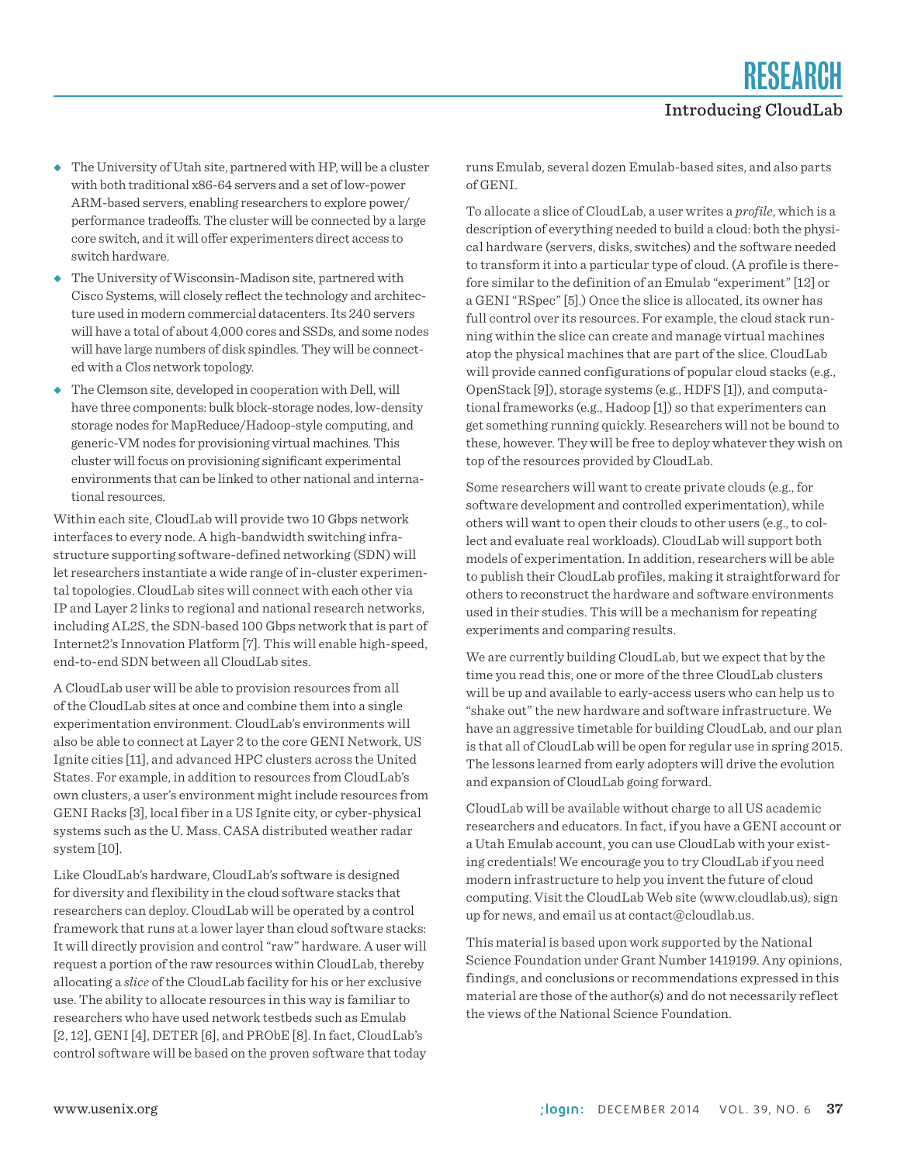- ◆ The University of Utah site, partnered with HP, will be a cluster with both traditional x86-64 servers and a set of low-power ARM-based servers, enabling researchers to explore power/ performance tradeoffs. The cluster will be connected by a large core switch, and it will offer experimenters direct access to switch hardware.
- ◆ The University of Wisconsin-Madison site, partnered with Cisco Systems, will closely reflect the technology and architecture used in modern commercial datacenters. Its 240 servers will have a total of about 4,000 cores and SSDs, and some nodes will have large numbers of disk spindles. They will be connected with a Clos network topology.
- ◆ The Clemson site, developed in cooperation with Dell, will have three components: bulk block-storage nodes, low-density storage nodes for MapReduce/Hadoop-style computing, and generic-VM nodes for provisioning virtual machines. This cluster will focus on provisioning significant experimental environments that can be linked to other national and international resources.

Within each site, CloudLab will provide two 10 Gbps network interfaces to every node. A high-bandwidth switching infrastructure supporting software-defined networking (SDN) will let researchers instantiate a wide range of in-cluster experimental topologies. CloudLab sites will connect with each other via IP and Layer 2 links to regional and national research networks, including AL2S, the SDN-based 100 Gbps network that is part of Internet2's Innovation Platform [7]. This will enable high-speed, end-to-end SDN between all CloudLab sites.

A CloudLab user will be able to provision resources from all of the CloudLab sites at once and combine them into a single experimentation environment. CloudLab's environments will also be able to connect at Layer 2 to the core GENI Network, US Ignite cities [11], and advanced HPC clusters across the United States. For example, in addition to resources from CloudLab's own clusters, a user's environment might include resources from GENI Racks [3], local fiber in a US Ignite city, or cyber-physical systems such as the U. Mass. CASA distributed weather radar system [10].

Like CloudLab's hardware, CloudLab's software is designed for diversity and flexibility in the cloud software stacks that researchers can deploy. CloudLab will be operated by a control framework that runs at a lower layer than cloud software stacks: It will directly provision and control "raw" hardware. A user will request a portion of the raw resources within CloudLab, thereby allocating a *slice* of the CloudLab facility for his or her exclusive use. The ability to allocate resources in this way is familiar to researchers who have used network testbeds such as Emulab [2, 12], GENI [4], DETER [6], and PRObE [8]. In fact, CloudLab's control software will be based on the proven software that today

runs Emulab, several dozen Emulab-based sites, and also parts of GENI.

To allocate a slice of CloudLab, a user writes a *profile*, which is a description of everything needed to build a cloud: both the physical hardware (servers, disks, switches) and the software needed to transform it into a particular type of cloud. (A profile is therefore similar to the definition of an Emulab "experiment" [12] or a GENI "RSpec" [5].) Once the slice is allocated, its owner has full control over its resources. For example, the cloud stack running within the slice can create and manage virtual machines atop the physical machines that are part of the slice. CloudLab will provide canned configurations of popular cloud stacks (e.g., OpenStack [9]), storage systems (e.g., HDFS [1]), and computational frameworks (e.g., Hadoop [1]) so that experimenters can get something running quickly. Researchers will not be bound to these, however. They will be free to deploy whatever they wish on top of the resources provided by CloudLab.

Some researchers will want to create private clouds (e.g., for software development and controlled experimentation), while others will want to open their clouds to other users (e.g., to collect and evaluate real workloads). CloudLab will support both models of experimentation. In addition, researchers will be able to publish their CloudLab profiles, making it straightforward for others to reconstruct the hardware and software environments used in their studies. This will be a mechanism for repeating experiments and comparing results.

We are currently building CloudLab, but we expect that by the time you read this, one or more of the three CloudLab clusters will be up and available to early-access users who can help us to "shake out" the new hardware and software infrastructure. We have an aggressive timetable for building CloudLab, and our plan is that all of CloudLab will be open for regular use in spring 2015. The lessons learned from early adopters will drive the evolution and expansion of CloudLab going forward.

CloudLab will be available without charge to all US academic researchers and educators. In fact, if you have a GENI account or a Utah Emulab account, you can use CloudLab with your existing credentials! We encourage you to try CloudLab if you need modern infrastructure to help you invent the future of cloud computing. Visit the CloudLab Web site (www.cloudlab.us), sign up for news, and email us at contact@cloudlab.us.

This material is based upon work supported by the National Science Foundation under Grant Number 1419199. Any opinions, findings, and conclusions or recommendations expressed in this material are those of the author(s) and do not necessarily reflect the views of the National Science Foundation.